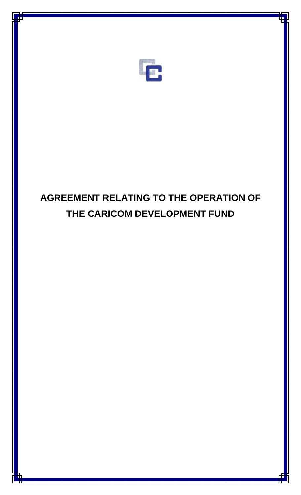

# **AGREEMENT RELATING TO THE OPERATION OF THE CARICOM DEVELOPMENT FUND**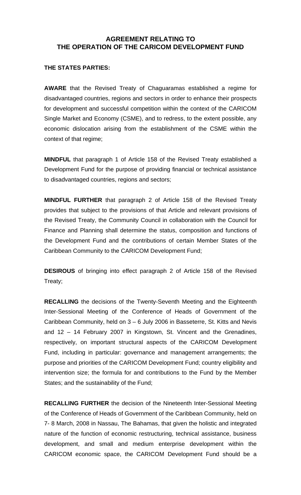# **AGREEMENT RELATING TO THE OPERATION OF THE CARICOM DEVELOPMENT FUND**

# **THE STATES PARTIES:**

**AWARE** that the Revised Treaty of Chaguaramas established a regime for disadvantaged countries, regions and sectors in order to enhance their prospects for development and successful competition within the context of the CARICOM Single Market and Economy (CSME), and to redress, to the extent possible, any economic dislocation arising from the establishment of the CSME within the context of that regime;

**MINDFUL** that paragraph 1 of Article 158 of the Revised Treaty established a Development Fund for the purpose of providing financial or technical assistance to disadvantaged countries, regions and sectors;

**MINDFUL FURTHER** that paragraph 2 of Article 158 of the Revised Treaty provides that subject to the provisions of that Article and relevant provisions of the Revised Treaty, the Community Council in collaboration with the Council for Finance and Planning shall determine the status, composition and functions of the Development Fund and the contributions of certain Member States of the Caribbean Community to the CARICOM Development Fund;

**DESIROUS** of bringing into effect paragraph 2 of Article 158 of the Revised Treaty;

**RECALLING** the decisions of the Twenty-Seventh Meeting and the Eighteenth Inter-Sessional Meeting of the Conference of Heads of Government of the Caribbean Community, held on 3 – 6 July 2006 in Basseterre, St. Kitts and Nevis and 12 – 14 February 2007 in Kingstown, St. Vincent and the Grenadines, respectively, on important structural aspects of the CARICOM Development Fund, including in particular: governance and management arrangements; the purpose and priorities of the CARICOM Development Fund; country eligibility and intervention size; the formula for and contributions to the Fund by the Member States; and the sustainability of the Fund;

**RECALLING FURTHER** the decision of the Nineteenth Inter-Sessional Meeting of the Conference of Heads of Government of the Caribbean Community, held on 7- 8 March, 2008 in Nassau, The Bahamas, that given the holistic and integrated nature of the function of economic restructuring, technical assistance, business development, and small and medium enterprise development within the CARICOM economic space, the CARICOM Development Fund should be a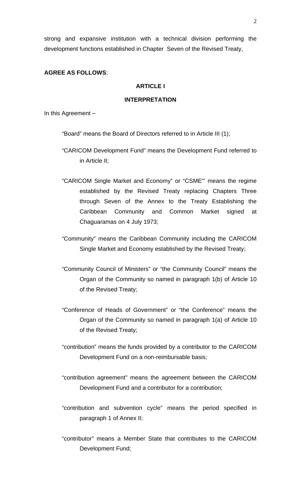strong and expansive institution with a technical division performing the development functions established in Chapter Seven of the Revised Treaty,

#### **AGREE AS FOLLOWS**:

#### **ARTICLE I**

#### **INTERPRETATION**

In this Agreement –

"Board" means the Board of Directors referred to in Article III (1);

- "CARICOM Development Fund" means the Development Fund referred to in Article II;
- "CARICOM Single Market and Economy" or "CSME"' means the regime established by the Revised Treaty replacing Chapters Three through Seven of the Annex to the Treaty Establishing the Caribbean Community and Common Market signed at Chaguaramas on 4 July 1973;
- "Community" means the Caribbean Community including the CARICOM Single Market and Economy established by the Revised Treaty;
- "Community Council of Ministers" or "the Community Council" means the Organ of the Community so named in paragraph 1(b) of Article 10 of the Revised Treaty;
- "Conference of Heads of Government" or "the Conference" means the Organ of the Community so named in paragraph 1(a) of Article 10 of the Revised Treaty;
- "contribution" means the funds provided by a contributor to the CARICOM Development Fund on a non-reimbursable basis;
- "contribution agreement" means the agreement between the CARICOM Development Fund and a contributor for a contribution;
- "contribution and subvention cycle" means the period specified in paragraph 1 of Annex II;
- "contributor" means a Member State that contributes to the CARICOM Development Fund;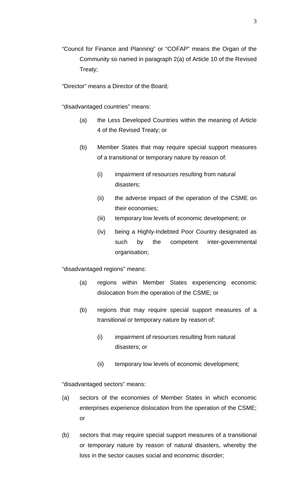"Council for Finance and Planning" or "COFAP" means the Organ of the Community so named in paragraph 2(a) of Article 10 of the Revised Treaty;

"Director" means a Director of the Board;

"disadvantaged countries" means:

- (a) the Less Developed Countries within the meaning of Article 4 of the Revised Treaty; or
- (b) Member States that may require special support measures of a transitional or temporary nature by reason of:
	- (i) impairment of resources resulting from natural disasters;
	- (ii) the adverse impact of the operation of the CSME on their economies;
	- (iii) temporary low levels of economic development; or
	- (iv) being a Highly-Indebted Poor Country designated as such by the competent inter-governmental organisation;

"disadvantaged regions" means:

- (a) regions within Member States experiencing economic dislocation from the operation of the CSME; or
- (b) regions that may require special support measures of a transitional or temporary nature by reason of:
	- (i) impairment of resources resulting from natural disasters; or
	- (ii) temporary low levels of economic development;

"disadvantaged sectors" means:

- (a) sectors of the economies of Member States in which economic enterprises experience dislocation from the operation of the CSME; or
- (b) sectors that may require special support measures of a transitional or temporary nature by reason of natural disasters, whereby the loss in the sector causes social and economic disorder;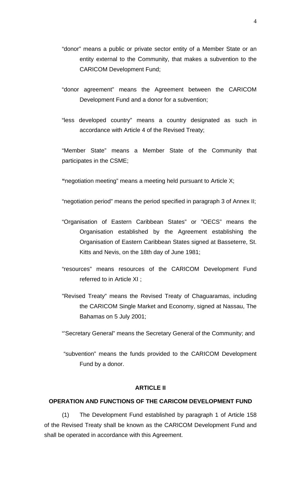- "donor" means a public or private sector entity of a Member State or an entity external to the Community, that makes a subvention to the CARICOM Development Fund;
- "donor agreement" means the Agreement between the CARICOM Development Fund and a donor for a subvention;
- "less developed country" means a country designated as such in accordance with Article 4 of the Revised Treaty;

"Member State" means a Member State of the Community that participates in the CSME;

 **"**negotiation meeting" means a meeting held pursuant to Article X;

"negotiation period" means the period specified in paragraph 3 of Annex II;

- "Organisation of Eastern Caribbean States" or "OECS" means the Organisation established by the Agreement establishing the Organisation of Eastern Caribbean States signed at Basseterre, St. Kitts and Nevis, on the 18th day of June 1981;
- "resources" means resources of the CARICOM Development Fund referred to in Article XI ;
- "Revised Treaty" means the Revised Treaty of Chaguaramas, including the CARICOM Single Market and Economy, signed at Nassau, The Bahamas on 5 July 2001;

"'Secretary General" means the Secretary General of the Community; and

 "subvention" means the funds provided to the CARICOM Development Fund by a donor.

#### **ARTICLE II**

# **OPERATION AND FUNCTIONS OF THE CARICOM DEVELOPMENT FUND**

(1) The Development Fund established by paragraph 1 of Article 158 of the Revised Treaty shall be known as the CARICOM Development Fund and shall be operated in accordance with this Agreement.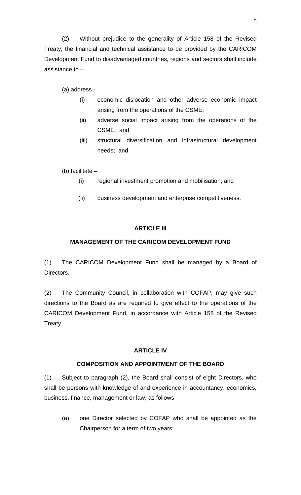(2) Without prejudice to the generality of Article 158 of the Revised Treaty, the financial and technical assistance to be provided by the CARICOM Development Fund to disadvantaged countries, regions and sectors shall include assistance to –

(a) address -

- (i) economic dislocation and other adverse economic impact arising from the operations of the CSME;
- (ii) adverse social impact arising from the operations of the CSME; and
- (iii) structural diversification and infrastructural development needs; and

(b) facilitate –

- (i) regional investment promotion and mobilisation; and
- (ii) business development and enterprise competitiveness.

# **ARTICLE III**

# **MANAGEMENT OF THE CARICOM DEVELOPMENT FUND**

(1) The CARICOM Development Fund shall be managed by a Board of Directors.

(2) The Community Council, in collaboration with COFAP, may give such directions to the Board as are required to give effect to the operations of the CARICOM Development Fund, in accordance with Article 158 of the Revised Treaty.

# **ARTICLE IV**

# **COMPOSITION AND APPOINTMENT OF THE BOARD**

(1) Subject to paragraph (2), the Board shall consist of eight Directors, who shall be persons with knowledge of and experience in accountancy, economics, business, finance, management or law, as follows -

(a) one Director selected by COFAP who shall be appointed as the Chairperson for a term of two years;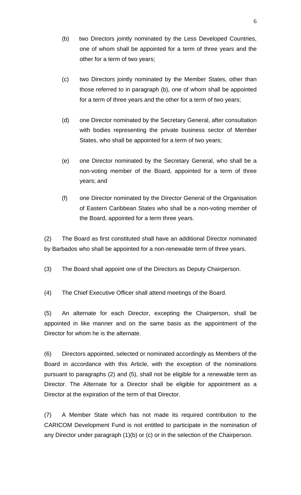- (b) two Directors jointly nominated by the Less Developed Countries, one of whom shall be appointed for a term of three years and the other for a term of two years;
- (c) two Directors jointly nominated by the Member States, other than those referred to in paragraph (b), one of whom shall be appointed for a term of three years and the other for a term of two years;
- (d) one Director nominated by the Secretary General, after consultation with bodies representing the private business sector of Member States, who shall be appointed for a term of two years;
- (e) one Director nominated by the Secretary General, who shall be a non-voting member of the Board, appointed for a term of three years; and
- (f) one Director nominated by the Director General of the Organisation of Eastern Caribbean States who shall be a non-voting member of the Board, appointed for a term three years.

(2) The Board as first constituted shall have an additional Director nominated by Barbados who shall be appointed for a non-renewable term of three years.

- (3) The Board shall appoint one of the Directors as Deputy Chairperson.
- (4) The Chief Executive Officer shall attend meetings of the Board.

(5) An alternate for each Director, excepting the Chairperson, shall be appointed in like manner and on the same basis as the appointment of the Director for whom he is the alternate.

(6) Directors appointed, selected or nominated accordingly as Members of the Board in accordance with this Article, with the exception of the nominations pursuant to paragraphs (2) and (5), shall not be eligible for a renewable term as Director. The Alternate for a Director shall be eligible for appointment as a Director at the expiration of the term of that Director.

(7) A Member State which has not made its required contribution to the CARICOM Development Fund is not entitled to participate in the nomination of any Director under paragraph (1)(b) or (c) or in the selection of the Chairperson.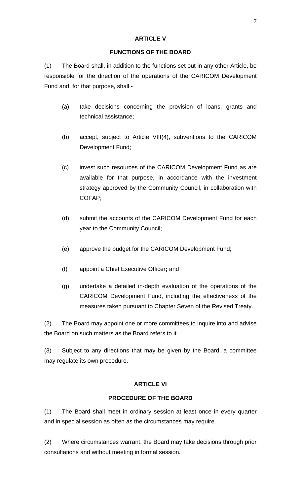#### **ARTICLE V**

# **FUNCTIONS OF THE BOARD**

(1) The Board shall, in addition to the functions set out in any other Article, be responsible for the direction of the operations of the CARICOM Development Fund and, for that purpose, shall -

- (a) take decisions concerning the provision of loans, grants and technical assistance;
- (b) accept, subject to Article VIII(4), subventions to the CARICOM Development Fund;
- (c) invest such resources of the CARICOM Development Fund as are available for that purpose, in accordance with the investment strategy approved by the Community Council, in collaboration with COFAP;
- (d) submit the accounts of the CARICOM Development Fund for each year to the Community Council;
- (e) approve the budget for the CARICOM Development Fund;
- (f) appoint a Chief Executive Officer**;** and
- (g) undertake a detailed in-depth evaluation of the operations of the CARICOM Development Fund, including the effectiveness of the measures taken pursuant to Chapter Seven of the Revised Treaty.

(2) The Board may appoint one or more committees to inquire into and advise the Board on such matters as the Board refers to it.

(3) Subject to any directions that may be given by the Board, a committee may regulate its own procedure.

# **ARTICLE VI**

# **PROCEDURE OF THE BOARD**

(1) The Board shall meet in ordinary session at least once in every quarter and in special session as often as the circumstances may require.

(2) Where circumstances warrant, the Board may take decisions through prior consultations and without meeting in formal session.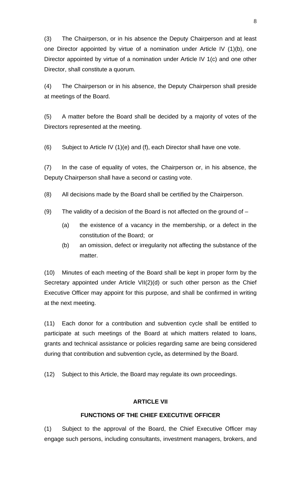(3) The Chairperson, or in his absence the Deputy Chairperson and at least one Director appointed by virtue of a nomination under Article IV (1)(b), one Director appointed by virtue of a nomination under Article IV 1(c) and one other Director, shall constitute a quorum.

(4) The Chairperson or in his absence, the Deputy Chairperson shall preside at meetings of the Board.

(5) A matter before the Board shall be decided by a majority of votes of the Directors represented at the meeting.

(6) Subject to Article IV  $(1)(e)$  and  $(f)$ , each Director shall have one vote.

(7) In the case of equality of votes, the Chairperson or, in his absence, the Deputy Chairperson shall have a second or casting vote.

(8) All decisions made by the Board shall be certified by the Chairperson.

- (9) The validity of a decision of the Board is not affected on the ground of  $-$ 
	- (a) the existence of a vacancy in the membership, or a defect in the constitution of the Board; or
	- (b) an omission, defect or irregularity not affecting the substance of the matter.

(10) Minutes of each meeting of the Board shall be kept in proper form by the Secretary appointed under Article VII(2)(d) or such other person as the Chief Executive Officer may appoint for this purpose, and shall be confirmed in writing at the next meeting.

(11) Each donor for a contribution and subvention cycle shall be entitled to participate at such meetings of the Board at which matters related to loans, grants and technical assistance or policies regarding same are being considered during that contribution and subvention cycle**,** as determined by the Board.

(12) Subject to this Article, the Board may regulate its own proceedings.

#### **ARTICLE VII**

# **FUNCTIONS OF THE CHIEF EXECUTIVE OFFICER**

(1) Subject to the approval of the Board, the Chief Executive Officer may engage such persons, including consultants, investment managers, brokers, and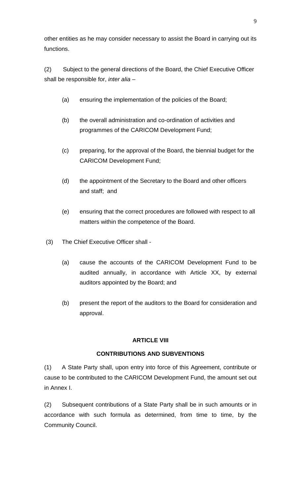other entities as he may consider necessary to assist the Board in carrying out its functions.

(2) Subject to the general directions of the Board, the Chief Executive Officer shall be responsible for, *inter alia* –

- (a) ensuring the implementation of the policies of the Board;
- (b) the overall administration and co-ordination of activities and programmes of the CARICOM Development Fund;
- (c) preparing, for the approval of the Board, the biennial budget for the CARICOM Development Fund;
- (d) the appointment of the Secretary to the Board and other officers and staff; and
- (e) ensuring that the correct procedures are followed with respect to all matters within the competence of the Board.
- (3) The Chief Executive Officer shall
	- (a) cause the accounts of the CARICOM Development Fund to be audited annually, in accordance with Article XX, by external auditors appointed by the Board; and
	- (b) present the report of the auditors to the Board for consideration and approval.

# **ARTICLE VIII**

# **CONTRIBUTIONS AND SUBVENTIONS**

(1) A State Party shall, upon entry into force of this Agreement, contribute or cause to be contributed to the CARICOM Development Fund, the amount set out in Annex I.

(2) Subsequent contributions of a State Party shall be in such amounts or in accordance with such formula as determined, from time to time, by the Community Council.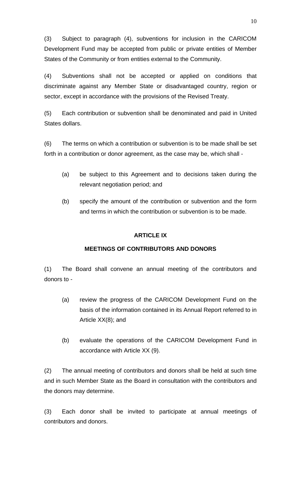(3) Subject to paragraph (4), subventions for inclusion in the CARICOM Development Fund may be accepted from public or private entities of Member States of the Community or from entities external to the Community.

(4) Subventions shall not be accepted or applied on conditions that discriminate against any Member State or disadvantaged country, region or sector, except in accordance with the provisions of the Revised Treaty.

(5) Each contribution or subvention shall be denominated and paid in United States dollars.

(6) The terms on which a contribution or subvention is to be made shall be set forth in a contribution or donor agreement, as the case may be, which shall -

- (a) be subject to this Agreement and to decisions taken during the relevant negotiation period; and
- (b) specify the amount of the contribution or subvention and the form and terms in which the contribution or subvention is to be made.

# **ARTICLE IX**

# **MEETINGS OF CONTRIBUTORS AND DONORS**

(1) The Board shall convene an annual meeting of the contributors and donors to -

- (a) review the progress of the CARICOM Development Fund on the basis of the information contained in its Annual Report referred to in Article XX(8); and
- (b) evaluate the operations of the CARICOM Development Fund in accordance with Article XX (9).

(2) The annual meeting of contributors and donors shall be held at such time and in such Member State as the Board in consultation with the contributors and the donors may determine.

(3) Each donor shall be invited to participate at annual meetings of contributors and donors.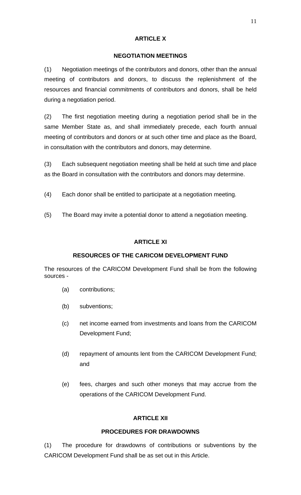# **ARTICLE X**

# **NEGOTIATION MEETINGS**

(1) Negotiation meetings of the contributors and donors, other than the annual meeting of contributors and donors, to discuss the replenishment of the resources and financial commitments of contributors and donors, shall be held during a negotiation period.

(2) The first negotiation meeting during a negotiation period shall be in the same Member State as, and shall immediately precede, each fourth annual meeting of contributors and donors or at such other time and place as the Board, in consultation with the contributors and donors, may determine.

(3) Each subsequent negotiation meeting shall be held at such time and place as the Board in consultation with the contributors and donors may determine.

- (4) Each donor shall be entitled to participate at a negotiation meeting.
- (5) The Board may invite a potential donor to attend a negotiation meeting.

# **ARTICLE XI**

# **RESOURCES OF THE CARICOM DEVELOPMENT FUND**

The resources of the CARICOM Development Fund shall be from the following sources -

- (a) contributions;
- (b) subventions;
- (c) net income earned from investments and loans from the CARICOM Development Fund;
- (d) repayment of amounts lent from the CARICOM Development Fund; and
- (e) fees, charges and such other moneys that may accrue from the operations of the CARICOM Development Fund.

# **ARTICLE XII**

# **PROCEDURES FOR DRAWDOWNS**

(1) The procedure for drawdowns of contributions or subventions by the CARICOM Development Fund shall be as set out in this Article.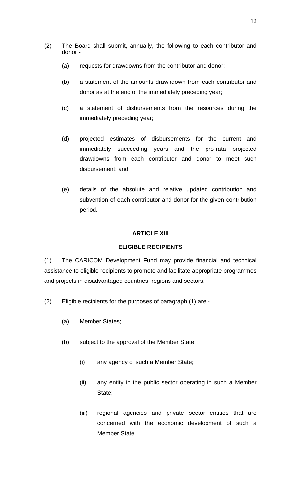- (2) The Board shall submit, annually, the following to each contributor and donor -
	- (a) requests for drawdowns from the contributor and donor;
	- (b) a statement of the amounts drawndown from each contributor and donor as at the end of the immediately preceding year;
	- (c) a statement of disbursements from the resources during the immediately preceding year;
	- (d) projected estimates of disbursements for the current and immediately succeeding years and the pro-rata projected drawdowns from each contributor and donor to meet such disbursement; and
	- (e) details of the absolute and relative updated contribution and subvention of each contributor and donor for the given contribution period.

# **ARTICLE XIII**

#### **ELIGIBLE RECIPIENTS**

(1) The CARICOM Development Fund may provide financial and technical assistance to eligible recipients to promote and facilitate appropriate programmes and projects in disadvantaged countries, regions and sectors.

- (2) Eligible recipients for the purposes of paragraph (1) are
	- (a) Member States;
	- (b) subject to the approval of the Member State:
		- (i) any agency of such a Member State;
		- (ii) any entity in the public sector operating in such a Member State;
		- (iii) regional agencies and private sector entities that are concerned with the economic development of such a Member State.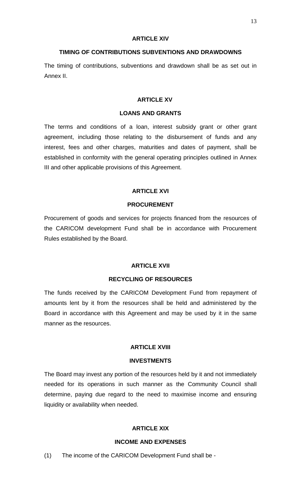#### **ARTICLE XIV**

#### **TIMING OF CONTRIBUTIONS SUBVENTIONS AND DRAWDOWNS**

The timing of contributions, subventions and drawdown shall be as set out in Annex II.

#### **ARTICLE XV**

#### **LOANS AND GRANTS**

The terms and conditions of a loan, interest subsidy grant or other grant agreement, including those relating to the disbursement of funds and any interest, fees and other charges, maturities and dates of payment, shall be established in conformity with the general operating principles outlined in Annex III and other applicable provisions of this Agreement.

#### **ARTICLE XVI**

#### **PROCUREMENT**

Procurement of goods and services for projects financed from the resources of the CARICOM development Fund shall be in accordance with Procurement Rules established by the Board.

# **ARTICLE XVII**

# **RECYCLING OF RESOURCES**

The funds received by the CARICOM Development Fund from repayment of amounts lent by it from the resources shall be held and administered by the Board in accordance with this Agreement and may be used by it in the same manner as the resources.

# **ARTICLE XVIII**

#### **INVESTMENTS**

The Board may invest any portion of the resources held by it and not immediately needed for its operations in such manner as the Community Council shall determine, paying due regard to the need to maximise income and ensuring liquidity or availability when needed.

# **ARTICLE XIX**

# **INCOME AND EXPENSES**

(1) The income of the CARICOM Development Fund shall be -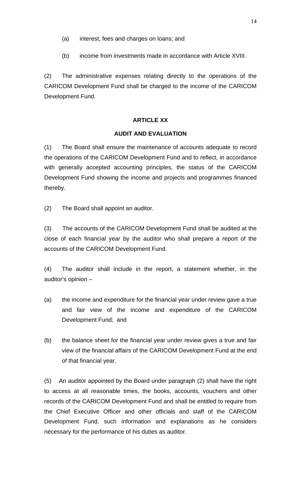- (a) interest, fees and charges on loans; and
- (b) income from investments made in accordance with Article XVIII.

(2) The administrative expenses relating directly to the operations of the CARICOM Development Fund shall be charged to the income of the CARICOM Development Fund.

# **ARTICLE XX**

# **AUDIT AND EVALUATION**

(1) The Board shall ensure the maintenance of accounts adequate to record the operations of the CARICOM Development Fund and to reflect, in accordance with generally accepted accounting principles, the status of the CARICOM Development Fund showing the income and projects and programmes financed thereby.

(2) The Board shall appoint an auditor.

(3) The accounts of the CARICOM Development Fund shall be audited at the close of each financial year by the auditor who shall prepare a report of the accounts of the CARICOM Development Fund.

(4) The auditor shall include in the report, a statement whether, in the auditor's opinion –

- (a) the income and expenditure for the financial year under review gave a true and fair view of the income and expenditure of the CARICOM Development Fund; and
- (b) the balance sheet for the financial year under review gives a true and fair view of the financial affairs of the CARICOM Development Fund at the end of that financial year.

(5) An auditor appointed by the Board under paragraph (2) shall have the right to access at all reasonable times, the books, accounts, vouchers and other records of the CARICOM Development Fund and shall be entitled to require from the Chief Executive Officer and other officials and staff of the CARICOM Development Fund, such information and explanations as he considers necessary for the performance of his duties as auditor.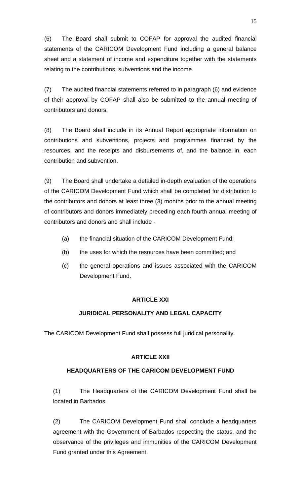(6) The Board shall submit to COFAP for approval the audited financial statements of the CARICOM Development Fund including a general balance sheet and a statement of income and expenditure together with the statements relating to the contributions, subventions and the income.

(7) The audited financial statements referred to in paragraph (6) and evidence of their approval by COFAP shall also be submitted to the annual meeting of contributors and donors.

(8) The Board shall include in its Annual Report appropriate information on contributions and subventions, projects and programmes financed by the resources, and the receipts and disbursements of, and the balance in, each contribution and subvention.

(9) The Board shall undertake a detailed in-depth evaluation of the operations of the CARICOM Development Fund which shall be completed for distribution to the contributors and donors at least three (3) months prior to the annual meeting of contributors and donors immediately preceding each fourth annual meeting of contributors and donors and shall include -

- (a) the financial situation of the CARICOM Development Fund;
- (b) the uses for which the resources have been committed; and
- (c) the general operations and issues associated with the CARICOM Development Fund.

# **ARTICLE XXI**

# **JURIDICAL PERSONALITY AND LEGAL CAPACITY**

The CARICOM Development Fund shall possess full juridical personality.

# **ARTICLE XXII**

# **HEADQUARTERS OF THE CARICOM DEVELOPMENT FUND**

(1) The Headquarters of the CARICOM Development Fund shall be located in Barbados.

(2) The CARICOM Development Fund shall conclude a headquarters agreement with the Government of Barbados respecting the status, and the observance of the privileges and immunities of the CARICOM Development Fund granted under this Agreement.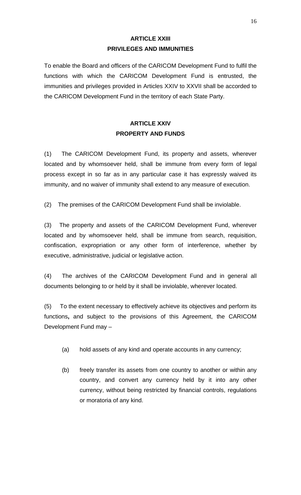# **ARTICLE XXIII PRIVILEGES AND IMMUNITIES**

To enable the Board and officers of the CARICOM Development Fund to fulfil the functions with which the CARICOM Development Fund is entrusted, the immunities and privileges provided in Articles XXIV to XXVII shall be accorded to the CARICOM Development Fund in the territory of each State Party.

# **ARTICLE XXIV PROPERTY AND FUNDS**

(1) The CARICOM Development Fund, its property and assets, wherever located and by whomsoever held, shall be immune from every form of legal process except in so far as in any particular case it has expressly waived its immunity, and no waiver of immunity shall extend to any measure of execution.

(2) The premises of the CARICOM Development Fund shall be inviolable.

(3) The property and assets of the CARICOM Development Fund, wherever located and by whomsoever held, shall be immune from search, requisition, confiscation, expropriation or any other form of interference, whether by executive, administrative, judicial or legislative action.

(4) The archives of the CARICOM Development Fund and in general all documents belonging to or held by it shall be inviolable, wherever located.

(5) To the extent necessary to effectively achieve its objectives and perform its functions**,** and subject to the provisions of this Agreement, the CARICOM Development Fund may –

- (a) hold assets of any kind and operate accounts in any currency;
- (b) freely transfer its assets from one country to another or within any country, and convert any currency held by it into any other currency, without being restricted by financial controls, regulations or moratoria of any kind.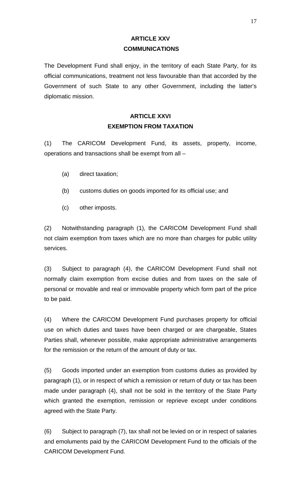# **ARTICLE XXV COMMUNICATIONS**

The Development Fund shall enjoy, in the territory of each State Party, for its official communications, treatment not less favourable than that accorded by the Government of such State to any other Government, including the latter's diplomatic mission.

# **ARTICLE XXVI EXEMPTION FROM TAXATION**

(1) The CARICOM Development Fund, its assets, property, income, operations and transactions shall be exempt from all –

- (a) direct taxation;
- (b) customs duties on goods imported for its official use; and
- (c) other imposts.

(2) Notwithstanding paragraph (1), the CARICOM Development Fund shall not claim exemption from taxes which are no more than charges for public utility services.

(3) Subject to paragraph (4), the CARICOM Development Fund shall not normally claim exemption from excise duties and from taxes on the sale of personal or movable and real or immovable property which form part of the price to be paid.

(4) Where the CARICOM Development Fund purchases property for official use on which duties and taxes have been charged or are chargeable, States Parties shall, whenever possible, make appropriate administrative arrangements for the remission or the return of the amount of duty or tax.

(5) Goods imported under an exemption from customs duties as provided by paragraph (1), or in respect of which a remission or return of duty or tax has been made under paragraph (4), shall not be sold in the territory of the State Party which granted the exemption, remission or reprieve except under conditions agreed with the State Party.

(6) Subject to paragraph (7), tax shall not be levied on or in respect of salaries and emoluments paid by the CARICOM Development Fund to the officials of the CARICOM Development Fund.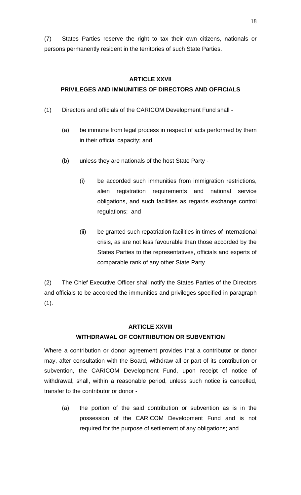(7) States Parties reserve the right to tax their own citizens, nationals or persons permanently resident in the territories of such State Parties.

# **ARTICLE XXVII**

# **PRIVILEGES AND IMMUNITIES OF DIRECTORS AND OFFICIALS**

- (1) Directors and officials of the CARICOM Development Fund shall
	- (a) be immune from legal process in respect of acts performed by them in their official capacity; and
	- (b) unless they are nationals of the host State Party
		- (i) be accorded such immunities from immigration restrictions, alien registration requirements and national service obligations, and such facilities as regards exchange control regulations; and
		- (ii) be granted such repatriation facilities in times of international crisis, as are not less favourable than those accorded by the States Parties to the representatives, officials and experts of comparable rank of any other State Party.

(2) The Chief Executive Officer shall notify the States Parties of the Directors and officials to be accorded the immunities and privileges specified in paragraph (1).

# **ARTICLE XXVIII WITHDRAWAL OF CONTRIBUTION OR SUBVENTION**

Where a contribution or donor agreement provides that a contributor or donor may, after consultation with the Board, withdraw all or part of its contribution or subvention, the CARICOM Development Fund, upon receipt of notice of withdrawal, shall, within a reasonable period, unless such notice is cancelled, transfer to the contributor or donor -

(a) the portion of the said contribution or subvention as is in the possession of the CARICOM Development Fund and is not required for the purpose of settlement of any obligations; and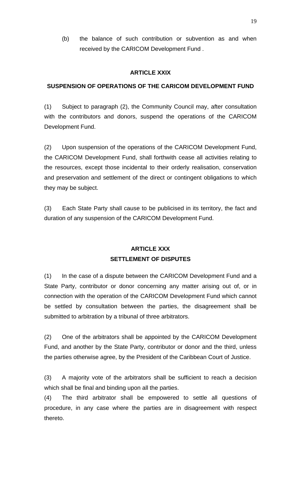(b) the balance of such contribution or subvention as and when received by the CARICOM Development Fund .

# **ARTICLE XXIX**

# **SUSPENSION OF OPERATIONS OF THE CARICOM DEVELOPMENT FUND**

(1) Subject to paragraph (2), the Community Council may, after consultation with the contributors and donors, suspend the operations of the CARICOM Development Fund.

(2) Upon suspension of the operations of the CARICOM Development Fund, the CARICOM Development Fund, shall forthwith cease all activities relating to the resources, except those incidental to their orderly realisation, conservation and preservation and settlement of the direct or contingent obligations to which they may be subject.

(3) Each State Party shall cause to be publicised in its territory, the fact and duration of any suspension of the CARICOM Development Fund.

# **ARTICLE XXX SETTLEMENT OF DISPUTES**

(1) In the case of a dispute between the CARICOM Development Fund and a State Party, contributor or donor concerning any matter arising out of, or in connection with the operation of the CARICOM Development Fund which cannot be settled by consultation between the parties, the disagreement shall be submitted to arbitration by a tribunal of three arbitrators.

(2) One of the arbitrators shall be appointed by the CARICOM Development Fund, and another by the State Party, contributor or donor and the third, unless the parties otherwise agree, by the President of the Caribbean Court of Justice.

(3) A majority vote of the arbitrators shall be sufficient to reach a decision which shall be final and binding upon all the parties.

(4) The third arbitrator shall be empowered to settle all questions of procedure, in any case where the parties are in disagreement with respect thereto.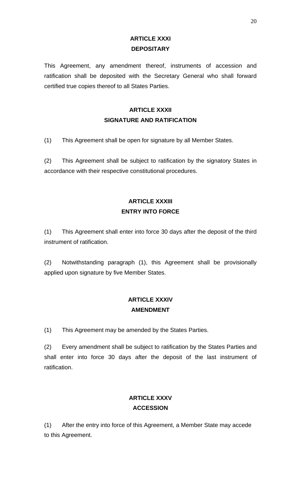# **ARTICLE XXXI DEPOSITARY**

This Agreement, any amendment thereof, instruments of accession and ratification shall be deposited with the Secretary General who shall forward certified true copies thereof to all States Parties.

# **ARTICLE XXXII SIGNATURE AND RATIFICATION**

(1) This Agreement shall be open for signature by all Member States.

(2) This Agreement shall be subject to ratification by the signatory States in accordance with their respective constitutional procedures.

# **ARTICLE XXXIII ENTRY INTO FORCE**

(1) This Agreement shall enter into force 30 days after the deposit of the third instrument of ratification.

(2) Notwithstanding paragraph (1), this Agreement shall be provisionally applied upon signature by five Member States.

# **ARTICLE XXXIV AMENDMENT**

(1) This Agreement may be amended by the States Parties.

(2) Every amendment shall be subject to ratification by the States Parties and shall enter into force 30 days after the deposit of the last instrument of ratification.

# **ARTICLE XXXV ACCESSION**

(1) After the entry into force of this Agreement, a Member State may accede to this Agreement.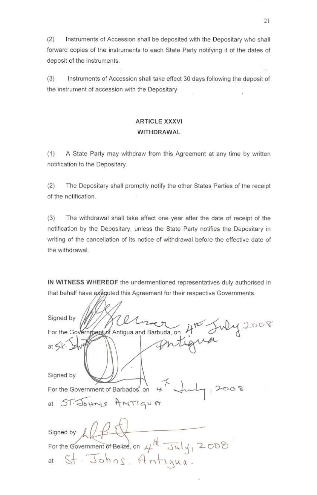$(2)$ Instruments of Accession shall be deposited with the Depositary who shall forward copies of the instruments to each State Party notifying it of the dates of deposit of the instruments.

Instruments of Accession shall take effect 30 days following the deposit of  $(3)$ the instrument of accession with the Depositary.

# **ARTICLE XXXVI** WITHDRAWAL

 $(1)$ A State Party may withdraw from this Agreement at any time by written notification to the Depositary.

 $(2)$ The Depositary shall promptly notify the other States Parties of the receipt of the notification.

 $(3)$ The withdrawal shall take effect one year after the date of receipt of the notification by the Depositary, unless the State Party notifies the Depositary in writing of the cancellation of its notice of withdrawal before the effective date of the withdrawal.

IN WITNESS WHEREOF the undermentioned representatives duly authorised in that behalf have exeguted this Agreement for their respective Governments.

| Signed by<br>a on 4th July 2008                                       |
|-----------------------------------------------------------------------|
| For the Government of Antigua and Barbuda, on                         |
| at $54.$                                                              |
| Signed by                                                             |
| $47$ duly<br>For the Government of Barbados, on                       |
| at ST. Johns AMTIqua                                                  |
| Signed by $\left  \int_{\mathbb{R}} \right  \left  \int_{\mathbb{R}}$ |
| For the Government of Belize, on $\mu^{\dagger \dagger}$ July, 2008   |
| at St. Johns, Antigua.                                                |

Šша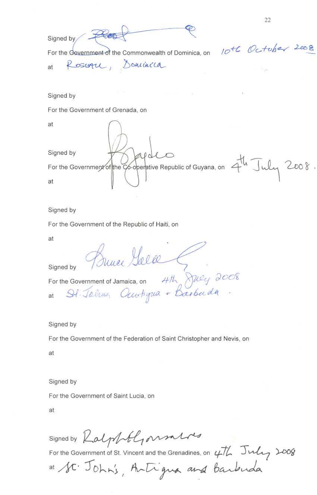22 Rest Signed by 10th October 2008 For the Government of the Commonwealth of Dominica, on Rosoph, Dominica at Signed by For the Government of Grenada, on at Signed by For the Government of the Co-operative Republic of Guyana, on  $4^{\frac{1}{4}}$  July 2008. at

Signed by

For the Government of the Republic of Haiti, on

at

Signed by

Bunee Gola

For the Government of Jamaica, on 4th July 2008<br>at  $St$  Jelus, Ouwtigua + Barbuda.

Signed by

For the Government of the Federation of Saint Christopher and Nevis, on

at

Signed by

For the Government of Saint Lucia, on

at

signed by Kalphtlyonnalos

For the Government of St. Vincent and the Grenadines, on  $\frac{\mu}{L}$  July 1008

at St. John's, Antigua and Barbuda